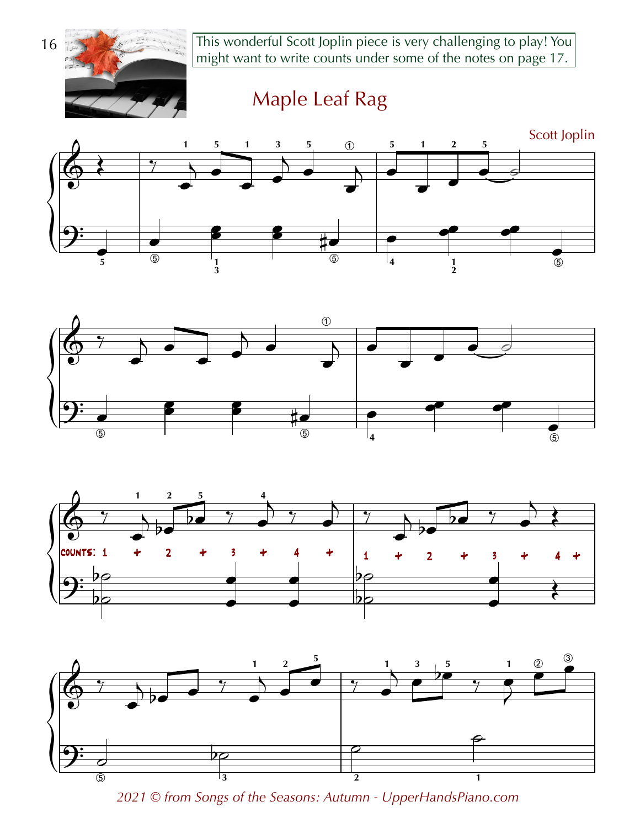This wonderful Scott Joplin piece is very challenging to play! You might want to write counts under some of the notes on page 17.



Maple Leaf Rag









2021 © from Songs of the Seasons: Autumn - UpperHandsPiano.com

16